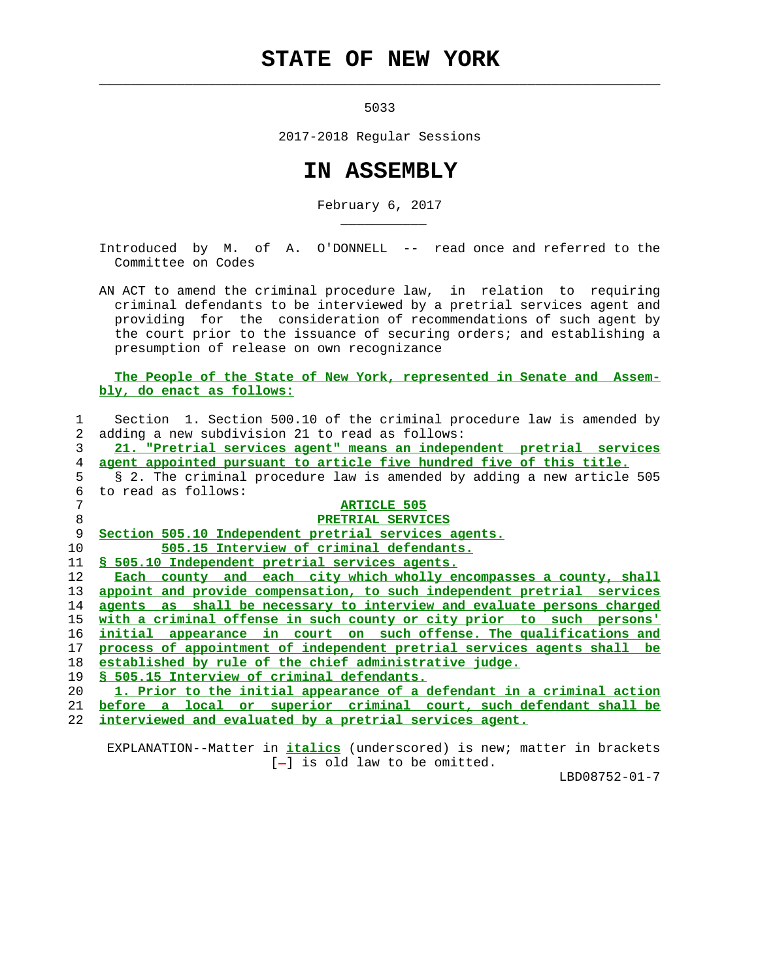## **STATE OF NEW YORK**

5033

 $\mathcal{L}_\text{max} = \frac{1}{2} \sum_{i=1}^{n} \frac{1}{2} \sum_{i=1}^{n} \frac{1}{2} \sum_{i=1}^{n} \frac{1}{2} \sum_{i=1}^{n} \frac{1}{2} \sum_{i=1}^{n} \frac{1}{2} \sum_{i=1}^{n} \frac{1}{2} \sum_{i=1}^{n} \frac{1}{2} \sum_{i=1}^{n} \frac{1}{2} \sum_{i=1}^{n} \frac{1}{2} \sum_{i=1}^{n} \frac{1}{2} \sum_{i=1}^{n} \frac{1}{2} \sum_{i=1}^{n} \frac{1$ 

\_\_\_\_\_\_\_\_\_\_\_

2017-2018 Regular Sessions

## **IN ASSEMBLY**

February 6, 2017

 Introduced by M. of A. O'DONNELL -- read once and referred to the Committee on Codes

 AN ACT to amend the criminal procedure law, in relation to requiring criminal defendants to be interviewed by a pretrial services agent and providing for the consideration of recommendations of such agent by the court prior to the issuance of securing orders; and establishing a presumption of release on own recognizance

## **The People of the State of New York, represented in Senate and Assem bly, do enact as follows:**



 EXPLANATION--Matter in **italics** (underscored) is new; matter in brackets  $[-]$  is old law to be omitted.

LBD08752-01-7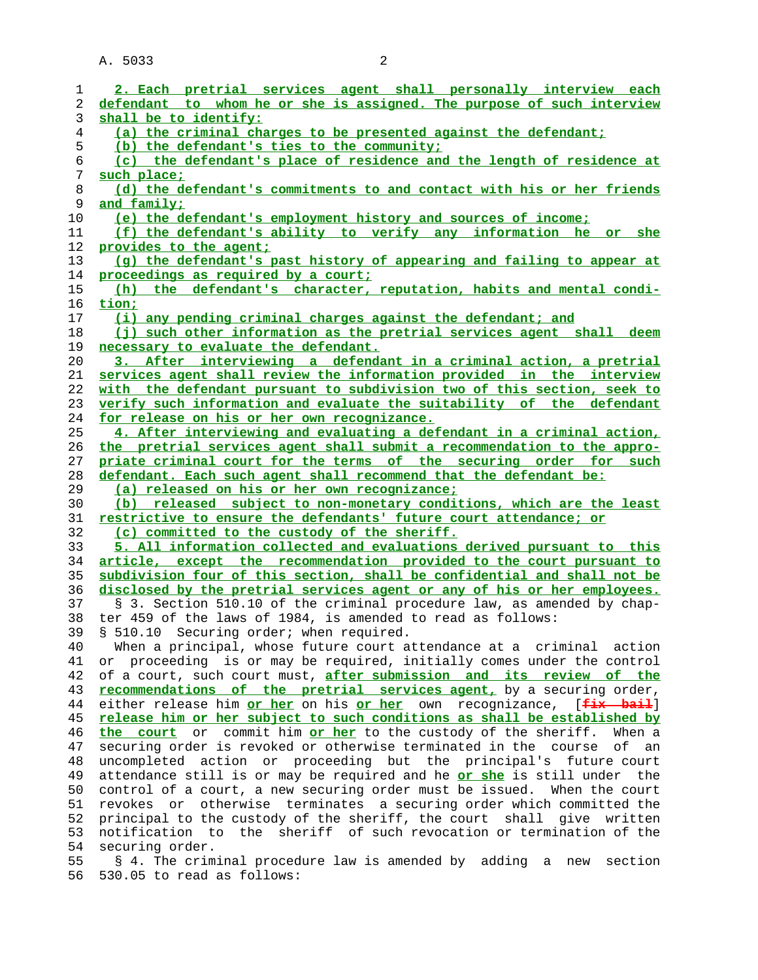A. 5033 2

| 1  | 2. Each pretrial services agent shall personally interview each               |
|----|-------------------------------------------------------------------------------|
| 2  | defendant to whom he or she is assigned. The purpose of such interview        |
| 3  | shall be to identify:                                                         |
| 4  | (a) the criminal charges to be presented against the defendant;               |
| 5  | (b) the defendant's ties to the community;                                    |
| 6  | (c) the defendant's place of residence and the length of residence at         |
| 7  | such place;                                                                   |
| 8  | (d) the defendant's commitments to and contact with his or her friends        |
| 9  | <u>and family;</u>                                                            |
| 10 | (e) the defendant's employment history and sources of income;                 |
| 11 | (f) the defendant's ability to verify any information he or she               |
| 12 | provides to the agent;                                                        |
| 13 | (g) the defendant's past history of appearing and failing to appear at        |
| 14 | proceedings as required by a court;                                           |
| 15 | (h) the defendant's character, reputation, habits and mental condi-           |
| 16 | tion;                                                                         |
| 17 | (i) any pending criminal charges against the defendant; and                   |
| 18 | (j) such other information as the pretrial services agent shall deem          |
| 19 | necessary to evaluate the defendant.                                          |
| 20 | 3. After interviewing a defendant in a criminal action, a pretrial            |
| 21 | services agent shall review the information provided in the interview         |
| 22 | with the defendant pursuant to subdivision two of this section, seek to       |
|    |                                                                               |
| 23 | verify such information and evaluate the suitability of the defendant         |
| 24 | for release on his or her own recognizance.                                   |
| 25 | 4. After interviewing and evaluating a defendant in a criminal action,        |
| 26 | the pretrial services agent shall submit a recommendation to the appro-       |
| 27 | priate criminal court for the terms of the securing order for such            |
| 28 | defendant. Each such agent shall recommend that the defendant be:             |
| 29 | (a) released on his or her own recognizance;                                  |
|    |                                                                               |
| 30 | (b) released subject to non-monetary conditions, which are the least          |
| 31 | restrictive to ensure the defendants' future court attendance; or             |
| 32 | (c) committed to the custody of the sheriff.                                  |
| 33 | 5. All information collected and evaluations derived pursuant to this         |
| 34 | article, except the recommendation provided to the court pursuant to          |
| 35 | subdivision four of this section, shall be confidential and shall not be      |
| 36 | disclosed by the pretrial services agent or any of his or her employees.      |
| 37 | § 3. Section 510.10 of the criminal procedure law, as amended by chap-        |
| 38 | ter 459 of the laws of 1984, is amended to read as follows:                   |
| 39 | § 510.10 Securing order; when required.                                       |
| 40 | When a principal, whose future court attendance at a criminal action          |
| 41 | or proceeding is or may be required, initially comes under the control        |
| 42 | of a court, such court must, after submission and its review of the           |
| 43 | recommendations of the pretrial services agent, by a securing order,          |
| 44 | either release him or her on his or her own recognizance, [fix bail]          |
| 45 | release him or her subject to such conditions as shall be established by      |
| 46 | commit him or her to the custody of the sheriff.<br>the court<br>or<br>When a |
| 47 | securing order is revoked or otherwise terminated in the course<br>оf<br>an   |
| 48 | uncompleted action or proceeding but the principal's future court             |
| 49 | attendance still is or may be required and he or she is still under<br>the    |
| 50 | control of a court, a new securing order must be issued. When the court       |
| 51 | otherwise terminates a securing order which committed the<br>revokes or       |
| 52 | principal to the custody of the sheriff, the court shall give written         |
| 53 | notification to the sheriff of such revocation or termination of the          |
| 54 | securing order.                                                               |
| 55 | § 4. The criminal procedure law is amended by adding a new<br>section         |

56 530.05 to read as follows: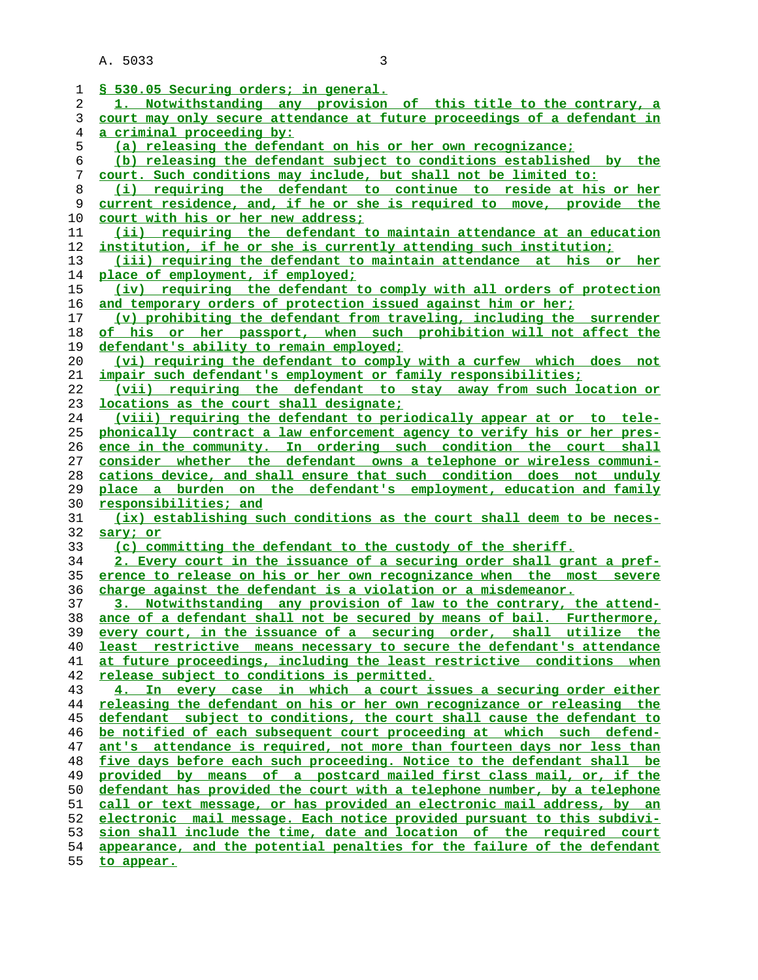A. 5033 3

| 1  | § 530.05 Securing orders; in general.                                    |
|----|--------------------------------------------------------------------------|
| 2  | 1. Notwithstanding any provision of this title to the contrary, a        |
| 3  | court may only secure attendance at future proceedings of a defendant in |
| 4  | <u>a criminal proceeding by:</u>                                         |
| 5  | (a) releasing the defendant on his or her own recognizance;              |
| 6  | (b) releasing the defendant subject to conditions established by the     |
| 7  | court. Such conditions may include, but shall not be limited to:         |
| 8  | (i) requiring the defendant to continue to reside at his or her          |
| 9  | current residence, and, if he or she is required to move, provide the    |
| 10 | court with his or her new address;                                       |
| 11 | (ii) requiring the defendant to maintain attendance at an education      |
| 12 | institution, if he or she is currently attending such institution;       |
| 13 | (iii) requiring the defendant to maintain attendance at his or<br>her    |
| 14 | place of employment, if employed;                                        |
| 15 | (iv) requiring the defendant to comply with all orders of protection     |
| 16 | and temporary orders of protection issued against him or her;            |
| 17 | (v) prohibiting the defendant from traveling, including the surrender    |
| 18 | of his or her passport, when such prohibition will not affect the        |
| 19 | defendant's ability to remain employed;                                  |
| 20 | (vi) requiring the defendant to comply with a curfew which does not      |
| 21 | impair such defendant's employment or family responsibilities;           |
| 22 | (vii) requiring the defendant to stay away from such location or         |
| 23 | locations as the court shall designate;                                  |
| 24 | (viii) requiring the defendant to periodically appear at or to tele-     |
| 25 | phonically contract a law enforcement agency to verify his or her pres-  |
| 26 | ence in the community. In ordering such condition the court shall        |
| 27 | consider whether the defendant owns a telephone or wireless communi-     |
| 28 | cations device, and shall ensure that such condition does not unduly     |
| 29 | place a burden on the defendant's employment, education and family       |
| 30 | responsibilities; and                                                    |
| 31 | (ix) establishing such conditions as the court shall deem to be neces-   |
| 32 | sary; or                                                                 |
| 33 | (c) committing the defendant to the custody of the sheriff.              |
| 34 | 2. Every court in the issuance of a securing order shall grant a pref-   |
| 35 | erence to release on his or her own recognizance when the most<br>severe |
| 36 | charge against the defendant is a violation or a misdemeanor.            |
| 37 | 3. Notwithstanding any provision of law to the contrary, the attend-     |
| 38 | ance of a defendant shall not be secured by means of bail. Furthermore,  |
| 39 | every court, in the issuance of a securing order, shall utilize the      |
| 40 | least restrictive means necessary to secure the defendant's attendance   |
| 41 | at future proceedings, including the least restrictive conditions when   |
| 42 | release subject to conditions is permitted.                              |
| 43 | 4. In every case in which a court issues a securing order either         |
| 44 | releasing the defendant on his or her own recognizance or releasing the  |
| 45 | defendant subject to conditions, the court shall cause the defendant to  |
| 46 | be notified of each subsequent court proceeding at which such defend-    |
| 47 | ant's attendance is required, not more than fourteen days nor less than  |
| 48 | five days before each such proceeding. Notice to the defendant shall be  |
| 49 | provided by means of a postcard mailed first class mail, or, if the      |
| 50 | defendant has provided the court with a telephone number, by a telephone |

**call or text message, or has provided an electronic mail address, by an electronic mail message. Each notice provided pursuant to this subdivi-**

**sion shall include the time, date and location of the required court**

**appearance, and the potential penalties for the failure of the defendant to appear.**